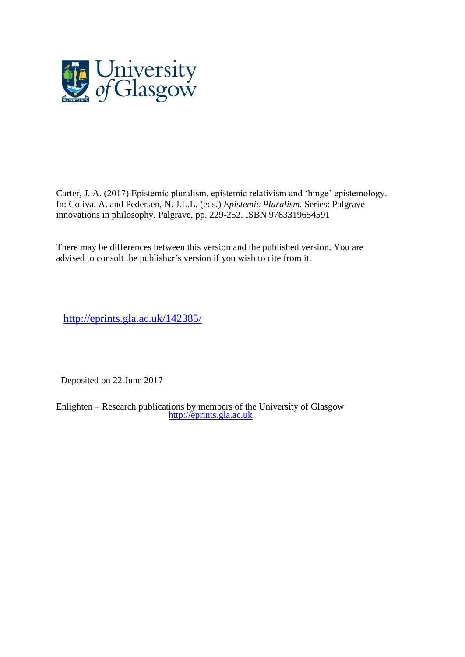

Carter, J. A. (2017) Epistemic pluralism, epistemic relativism and 'hinge' epistemology. In: Coliva, A. and Pedersen, N. J.L.L. (eds.) *Epistemic Pluralism.* Series: Palgrave innovations in philosophy. Palgrave, pp. 229-252. ISBN 9783319654591

There may be differences between this version and the published version. You are advised to consult the publisher's version if you wish to cite from it.

<http://eprints.gla.ac.uk/142385/>

Deposited on 22 June 2017

Enlighten – Research publications by members of the University of Glasgow [http://eprints.gla.ac.uk](http://eprints.gla.ac.uk/)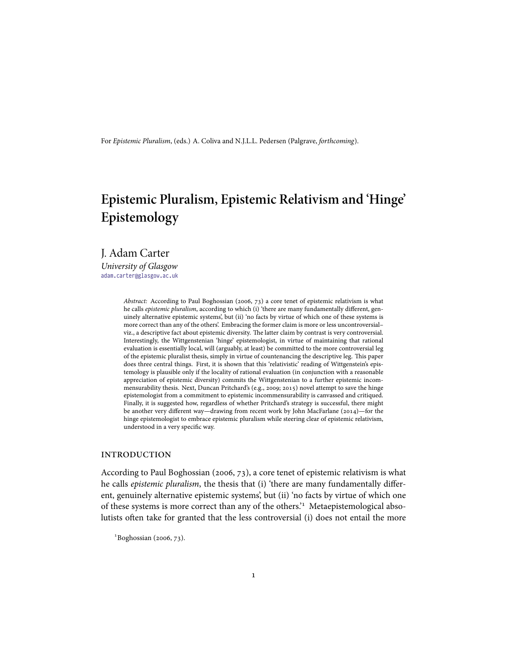For *Epistemic Pluralism*, (eds.) A. Coliva and N.J.L.L. Pedersen (Palgrave, *forthcoming*).

# **Epistemic Pluralism, Epistemic Relativism and 'Hinge' Epistemology**

J. Adam Carter *University of Glasgow* <adam.carter@glasgow.ac.uk>

> *Abstract:* According to Paul Boghossian (2006, 73) a core tenet of epistemic relativism is what he calls *epistemic pluralism*, according to which (i) 'there are many fundamentally different, genuinely alternative epistemic systems', but (ii) 'no facts by virtue of which one of these systems is more correct than any of the others'. Embracing the former claim is more or less uncontroversial– viz., a descriptive fact about epistemic diversity. The latter claim by contrast is very controversial. Interestingly, the Wittgenstenian 'hinge' epistemologist, in virtue of maintaining that rational evaluation is essentially local, will (arguably, at least) be committed to the more controversial leg of the epistemic pluralist thesis, simply in virtue of countenancing the descriptive leg. This paper does three central things. First, it is shown that this 'relativistic' reading of Wittgenstein's epistemology is plausible only if the locality of rational evaluation (in conjunction with a reasonable appreciation of epistemic diversity) commits the Wittgenstenian to a further epistemic incommensurability thesis. Next, Duncan Pritchard's (e.g., 2009; 2015) novel attempt to save the hinge epistemologist from a commitment to epistemic incommensurability is canvassed and critiqued. Finally, it is suggested how, regardless of whether Pritchard's strategy is successful, there might be another very different way—drawing from recent work by John MacFarlane (2014)—for the hinge epistemologist to embrace epistemic pluralism while steering clear of epistemic relativism, understood in a very specific way.

#### **INTRODUCTION**

According to Paul Boghossian (2006, 73), a core tenet of epistemic relativism is what he calls *epistemic pluralism*, the thesis that (i) 'there are many fundamentally different, genuinely alternative epistemic systems', but (ii) 'no facts by virtue of which one of these systems is more correct than any of the others.'[1](#page-1-0) Metaepistemological absolutists often take for granted that the less controversial (i) does not entail the more

<span id="page-1-0"></span> $1$ Boghossian (2006, 73).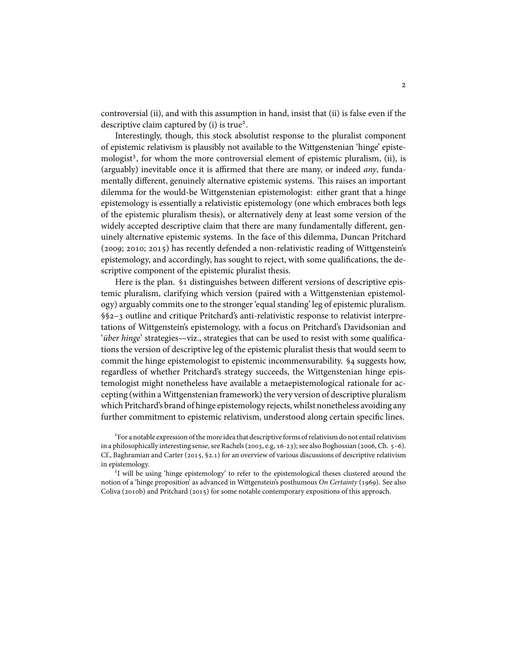controversial (ii), and with this assumption in hand, insist that (ii) is false even if the descriptive claim captured by (i) is true<sup>[2](#page-2-0)</sup>.

Interestingly, though, this stock absolutist response to the pluralist component of epistemic relativism is plausibly not available to the Wittgenstenian 'hinge' episte-mologist<sup>[3](#page-2-1)</sup>, for whom the more controversial element of epistemic pluralism, (ii), is (arguably) inevitable once it is affirmed that there are many, or indeed *any*, fundamentally different, genuinely alternative epistemic systems. This raises an important dilemma for the would-be Wittgenstenian epistemologist: either grant that a hinge epistemology is essentially a relativistic epistemology (one which embraces both legs of the epistemic pluralism thesis), or alternatively deny at least some version of the widely accepted descriptive claim that there are many fundamentally different, genuinely alternative epistemic systems. In the face of this dilemma, Duncan Pritchard (2009; 2010; 2015) has recently defended a non-relativistic reading of Wittgenstein's epistemology, and accordingly, has sought to reject, with some qualifications, the descriptive component of the epistemic pluralist thesis.

Here is the plan. §1 distinguishes between different versions of descriptive epistemic pluralism, clarifying which version (paired with a Wittgenstenian epistemology) arguably commits one to the stronger 'equal standing' leg of epistemic pluralism. §§2–3 outline and critique Pritchard's anti-relativistic response to relativist interpretations of Wittgenstein's epistemology, with a focus on Pritchard's Davidsonian and '*über hinge*' strategies—viz., strategies that can be used to resist with some qualifications the version of descriptive leg of the epistemic pluralist thesis that would seem to commit the hinge epistemologist to epistemic incommensurability. §4 suggests how, regardless of whether Pritchard's strategy succeeds, the Wittgenstenian hinge epistemologist might nonetheless have available a metaepistemological rationale for accepting (within a Wittgenstenian framework) the very version of descriptive pluralism which Pritchard's brand of hinge epistemology rejects, whilst nonetheless avoiding any further commitment to epistemic relativism, understood along certain specific lines.

<span id="page-2-0"></span><sup>2</sup> For a notable expression of the more idea that descriptive forms of relativism do not entail relativism in a philosophically interesting sense, see Rachels (2003, e.g, 16-23); see also Boghossian (2006, Ch. 5–6). Cf., Baghramian and Carter (2015, §2.1) for an overview of various discussions of descriptive relativism in epistemology.

<span id="page-2-1"></span><sup>3</sup>I will be using 'hinge epistemology' to refer to the epistemological theses clustered around the notion of a 'hinge proposition' as advanced in Wittgenstein's posthumous *On Certainty* (1969). See also Coliva (2010b) and Pritchard (2015) for some notable contemporary expositions of this approach.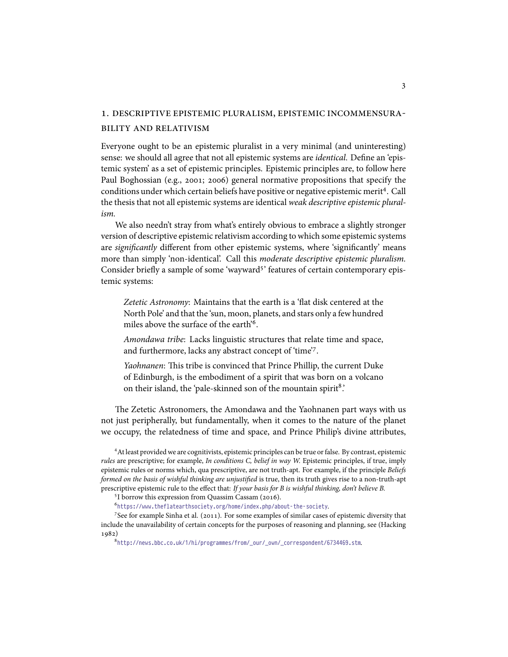# 1. descriptive epistemic pluralism, epistemic incommensurability and relativism

Everyone ought to be an epistemic pluralist in a very minimal (and uninteresting) sense: we should all agree that not all epistemic systems are *identical*. Define an 'epistemic system' as a set of epistemic principles. Epistemic principles are, to follow here Paul Boghossian (e.g., 2001; 2006) general normative propositions that specify the conditions under which certain beliefs have positive or negative epistemic merit<sup>[4](#page-3-0)</sup>. Call the thesis that not all epistemic systems are identical *weak descriptive epistemic pluralism.*

We also needn't stray from what's entirely obvious to embrace a slightly stronger version of descriptive epistemic relativism according to which some epistemic systems are *significantly* different from other epistemic systems, where 'significantly' means more than simply 'non-identical'. Call this *moderate descriptive epistemic pluralism.* Consider briefly a sample of some 'wayward<sup>[5](#page-3-1)</sup>' features of certain contemporary epistemic systems:

*Zetetic Astronomy*: Maintains that the earth is a 'flat disk centered at the North Pole' and that the 'sun, moon, planets, and stars only a few hundred miles above the surface of the earth'[6](#page-3-2) .

*Amondawa tribe*: Lacks linguistic structures that relate time and space, and furthermore, lacks any abstract concept of 'time'[7](#page-3-3).

*Yaohnanen*: This tribe is convinced that Prince Phillip, the current Duke of Edinburgh, is the embodiment of a spirit that was born on a volcano on their island, the 'pale-skinned son of the mountain spirit<sup>[8](#page-3-4)</sup>.'

The Zetetic Astronomers, the Amondawa and the Yaohnanen part ways with us not just peripherally, but fundamentally, when it comes to the nature of the planet we occupy, the relatedness of time and space, and Prince Philip's divine attributes,

<span id="page-3-0"></span><sup>4</sup>At least provided we are cognitivists, epistemic principles can be true or false. By contrast, epistemic *rules* are prescriptive; for example, *In conditions C, belief in way W.* Epistemic principles, if true, imply epistemic rules or norms which, qua prescriptive, are not truth-apt. For example, if the principle *Beliefs formed on the basis of wishful thinking are unjustified* is true, then its truth gives rise to a non-truth-apt prescriptive epistemic rule to the effect that: *If your basis for B is wishful thinking, don't believe B.*

<span id="page-3-1"></span>5 I borrow this expression from Quassim Cassam (2016).

<span id="page-3-3"></span><span id="page-3-2"></span>6 <https://www.theflatearthsociety.org/home/index.php/about-the-society>.

7 See for example Sinha et al. (2011). For some examples of similar cases of epistemic diversity that include the unavailability of certain concepts for the purposes of reasoning and planning, see (Hacking 1982)

<span id="page-3-4"></span>8 [http://news.bbc.co.uk/1/hi/programmes/from/\\_our/\\_own/\\_correspondent/6734469.stm](http://news.bbc.co.uk/1/hi/programmes/from/_our/_own/_correspondent/6734469.stm).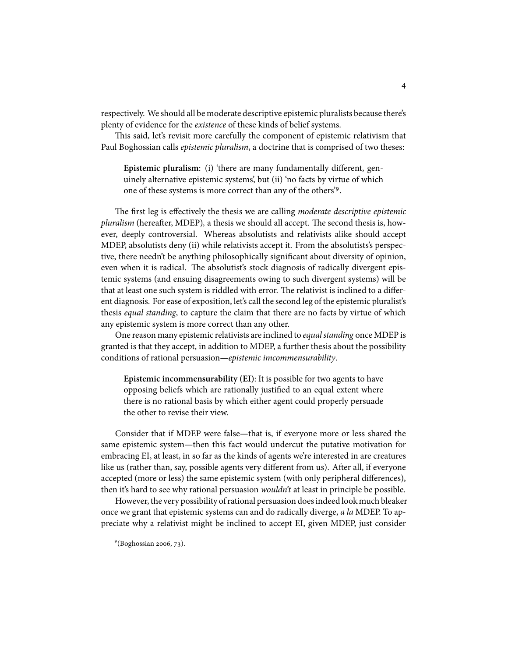respectively. We should all be moderate descriptive epistemic pluralists because there's plenty of evidence for the *existence* of these kinds of belief systems.

This said, let's revisit more carefully the component of epistemic relativism that Paul Boghossian calls *epistemic pluralism*, a doctrine that is comprised of two theses:

**Epistemic pluralism**: (i) 'there are many fundamentally different, genuinely alternative epistemic systems', but (ii) 'no facts by virtue of which one of these systems is more correct than any of the others'[9](#page-4-0) .

The first leg is effectively the thesis we are calling *moderate descriptive epistemic pluralism* (hereafter, MDEP)*,* a thesis we should all accept. The second thesis is, however, deeply controversial. Whereas absolutists and relativists alike should accept MDEP, absolutists deny (ii) while relativists accept it. From the absolutists's perspective, there needn't be anything philosophically significant about diversity of opinion, even when it is radical. The absolutist's stock diagnosis of radically divergent epistemic systems (and ensuing disagreements owing to such divergent systems) will be that at least one such system is riddled with error. The relativist is inclined to a different diagnosis. For ease of exposition, let's call the second leg of the epistemic pluralist's thesis *equal standing*, to capture the claim that there are no facts by virtue of which any epistemic system is more correct than any other.

One reason many epistemic relativists are inclined to *equal standing* once MDEP is granted is that they accept, in addition to MDEP, a further thesis about the possibility conditions of rational persuasion—*epistemic imcommensurability*.

**Epistemic incommensurability (EI)**: It is possible for two agents to have opposing beliefs which are rationally justified to an equal extent where there is no rational basis by which either agent could properly persuade the other to revise their view.

Consider that if MDEP were false—that is, if everyone more or less shared the same epistemic system—then this fact would undercut the putative motivation for embracing EI, at least, in so far as the kinds of agents we're interested in are creatures like us (rather than, say, possible agents very different from us). After all, if everyone accepted (more or less) the same epistemic system (with only peripheral differences), then it's hard to see why rational persuasion *wouldn't* at least in principle be possible.

However, the very possibility of rational persuasion does indeed look much bleaker once we grant that epistemic systems can and do radically diverge, *a la* MDEP. To appreciate why a relativist might be inclined to accept EI, given MDEP, just consider

<span id="page-4-0"></span>9 (Boghossian 2006, 73).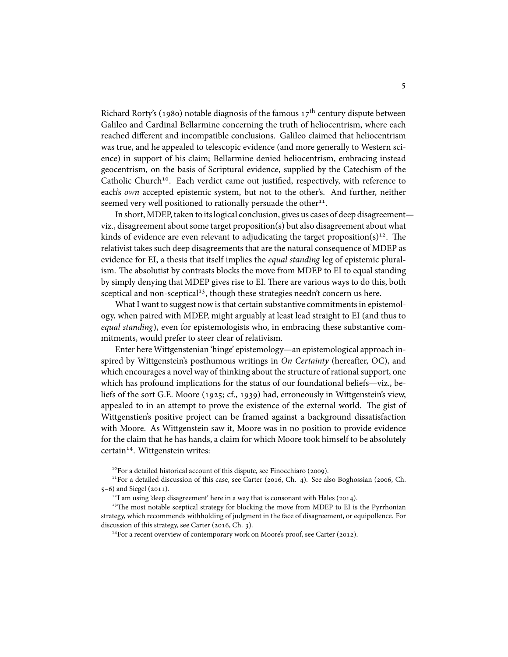Richard Rorty's (1980) notable diagnosis of the famous  $17<sup>th</sup>$  century dispute between Galileo and Cardinal Bellarmine concerning the truth of heliocentrism, where each reached different and incompatible conclusions. Galileo claimed that heliocentrism was true, and he appealed to telescopic evidence (and more generally to Western science) in support of his claim; Bellarmine denied heliocentrism, embracing instead geocentrism, on the basis of Scriptural evidence, supplied by the Catechism of the Catholic Church<sup>[10](#page-5-0)</sup>. Each verdict came out justified, respectively, with reference to each's *own* accepted epistemic system, but not to the other's. And further, neither seemed very well positioned to rationally persuade the other<sup>[11](#page-5-1)</sup>.

In short, MDEP, taken to its logical conclusion, gives us cases of deep disagreement viz., disagreement about some target proposition(s) but also disagreement about what kinds of evidence are even relevant to adjudicating the target proposition(s)<sup>[12](#page-5-2)</sup>. The relativist takes such deep disagreements that are the natural consequence of MDEP as evidence for EI, a thesis that itself implies the *equal standing* leg of epistemic pluralism. The absolutist by contrasts blocks the move from MDEP to EI to equal standing by simply denying that MDEP gives rise to EI. There are various ways to do this, both sceptical and non-sceptical<sup>[13](#page-5-3)</sup>, though these strategies needn't concern us here.

What I want to suggest now is that certain substantive commitments in epistemology, when paired with MDEP, might arguably at least lead straight to EI (and thus to *equal standing*), even for epistemologists who, in embracing these substantive commitments, would prefer to steer clear of relativism.

Enter here Wittgenstenian 'hinge' epistemology—an epistemological approach inspired by Wittgenstein's posthumous writings in *On Certainty* (hereafter, OC), and which encourages a novel way of thinking about the structure of rational support, one which has profound implications for the status of our foundational beliefs—viz., beliefs of the sort G.E. Moore (1925; cf., 1939) had, erroneously in Wittgenstein's view, appealed to in an attempt to prove the existence of the external world. The gist of Wittgenstien's positive project can be framed against a background dissatisfaction with Moore. As Wittgenstein saw it, Moore was in no position to provide evidence for the claim that he has hands, a claim for which Moore took himself to be absolutely certain<sup>[14](#page-5-4)</sup>. Wittgenstein writes:

<span id="page-5-1"></span><span id="page-5-0"></span><sup>10</sup>For a detailed historical account of this dispute, see Finocchiaro (2009).

<sup>11</sup>For a detailed discussion of this case, see Carter (2016, Ch. 4). See also Boghossian (2006, Ch. 5–6) and Siegel (2011).

<span id="page-5-3"></span><span id="page-5-2"></span> $12$ I am using 'deep disagreement' here in a way that is consonant with Hales (2014).

<sup>13</sup>The most notable sceptical strategy for blocking the move from MDEP to EI is the Pyrrhonian strategy, which recommends withholding of judgment in the face of disagreement, or equipollence. For discussion of this strategy, see Carter (2016, Ch. 3).

<span id="page-5-4"></span><sup>14</sup>For a recent overview of contemporary work on Moore's proof, see Carter (2012).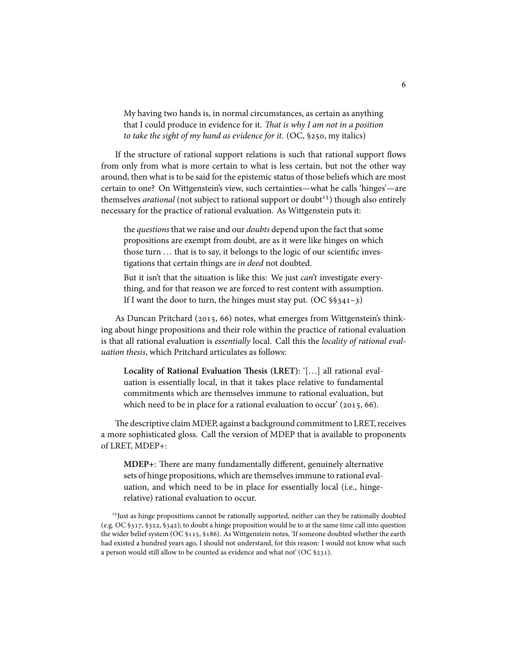My having two hands is, in normal circumstances, as certain as anything that I could produce in evidence for it. *That is why I am not in a position to take the sight of my hand as evidence for it*. (OC, §250, my italics)

If the structure of rational support relations is such that rational support flows from only from what is more certain to what is less certain, but not the other way around, then what is to be said for the epistemic status of those beliefs which are most certain to one? On Wittgenstein's view, such certainties—what he calls 'hinges'—are themselves *arational* (not subject to rational support or doubt<sup>[15](#page-6-0)</sup>) though also entirely necessary for the practice of rational evaluation. As Wittgenstein puts it:

the *questions* that we raise and our *doubts* depend upon the fact that some propositions are exempt from doubt, are as it were like hinges on which those turn … that is to say, it belongs to the logic of our scientific investigations that certain things are *in deed* not doubted.

But it isn't that the situation is like this: We just *can't* investigate everything, and for that reason we are forced to rest content with assumption. If I want the door to turn, the hinges must stay put.  $(OC \S \S 341-3)$ 

As Duncan Pritchard (2015, 66) notes, what emerges from Wittgenstein's thinking about hinge propositions and their role within the practice of rational evaluation is that all rational evaluation is *essentially* local. Call this the *locality of rational evaluation thesis*, which Pritchard articulates as follows:

**Locality of Rational Evaluation Thesis (LRET)**: '[…] all rational evaluation is essentially local, in that it takes place relative to fundamental commitments which are themselves immune to rational evaluation, but which need to be in place for a rational evaluation to occur' (2015, 66).

The descriptive claim MDEP, against a background commitment to LRET, receives a more sophisticated gloss. Call the version of MDEP that is available to proponents of LRET, MDEP+:

**MDEP+**: There are many fundamentally different, genuinely alternative sets of hinge propositions, which are themselves immune to rational evaluation, and which need to be in place for essentially local (i.e., hingerelative) rational evaluation to occur.

<span id="page-6-0"></span><sup>15</sup>Just as hinge propositions cannot be rationally supported, neither can they be rationally doubted (e.g. OC §317, §322, §342); to doubt a hinge proposition would be to at the same time call into question the wider belief system (OC §115, §186). As Wittgenstein notes, 'If someone doubted whether the earth had existed a hundred years ago, I should not understand, for this reason: I would not know what such a person would still allow to be counted as evidence and what not' (OC §231).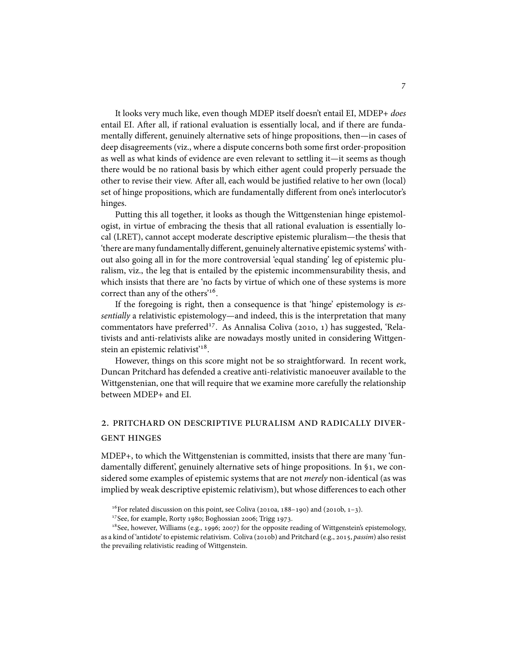It looks very much like, even though MDEP itself doesn't entail EI, MDEP+ *does* entail EI. After all, if rational evaluation is essentially local, and if there are fundamentally different, genuinely alternative sets of hinge propositions, then—in cases of deep disagreements (viz., where a dispute concerns both some first order-proposition as well as what kinds of evidence are even relevant to settling it—it seems as though there would be no rational basis by which either agent could properly persuade the other to revise their view. After all, each would be justified relative to her own (local) set of hinge propositions, which are fundamentally different from one's interlocutor's hinges.

Putting this all together, it looks as though the Wittgenstenian hinge epistemologist, in virtue of embracing the thesis that all rational evaluation is essentially local (LRET), cannot accept moderate descriptive epistemic pluralism—the thesis that 'there are many fundamentally different, genuinely alternative epistemic systems' without also going all in for the more controversial 'equal standing' leg of epistemic pluralism, viz., the leg that is entailed by the epistemic incommensurability thesis, and which insists that there are 'no facts by virtue of which one of these systems is more correct than any of the others'<sup>[16](#page-7-0)</sup>.

If the foregoing is right, then a consequence is that 'hinge' epistemology is *essentially* a relativistic epistemology—and indeed, this is the interpretation that many commentators have preferred<sup>[17](#page-7-1)</sup>. As Annalisa Coliva (2010, 1) has suggested, 'Relativists and anti-relativists alike are nowadays mostly united in considering Wittgen-stein an epistemic relativist'<sup>[18](#page-7-2)</sup>.

However, things on this score might not be so straightforward. In recent work, Duncan Pritchard has defended a creative anti-relativistic manoeuver available to the Wittgenstenian, one that will require that we examine more carefully the relationship between MDEP+ and EI.

# 2. pritchard on descriptive pluralism and radically divergent hinges

MDEP+, to which the Wittgenstenian is committed, insists that there are many 'fundamentally different', genuinely alternative sets of hinge propositions. In §1, we considered some examples of epistemic systems that are not *merely* non-identical (as was implied by weak descriptive epistemic relativism), but whose differences to each other

<span id="page-7-0"></span><sup>&</sup>lt;sup>16</sup>For related discussion on this point, see Coliva (2010a, 188–190) and (2010b, 1–3).

<span id="page-7-2"></span><span id="page-7-1"></span><sup>&</sup>lt;sup>17</sup>See, for example, Rorty 1980; Boghossian 2006; Trigg 1973.

<sup>&</sup>lt;sup>18</sup> See, however, Williams (e.g., 1996; 2007) for the opposite reading of Wittgenstein's epistemology, as a kind of 'antidote' to epistemic relativism. Coliva (2010b) and Pritchard (e.g., 2015, *passim*) also resist the prevailing relativistic reading of Wittgenstein.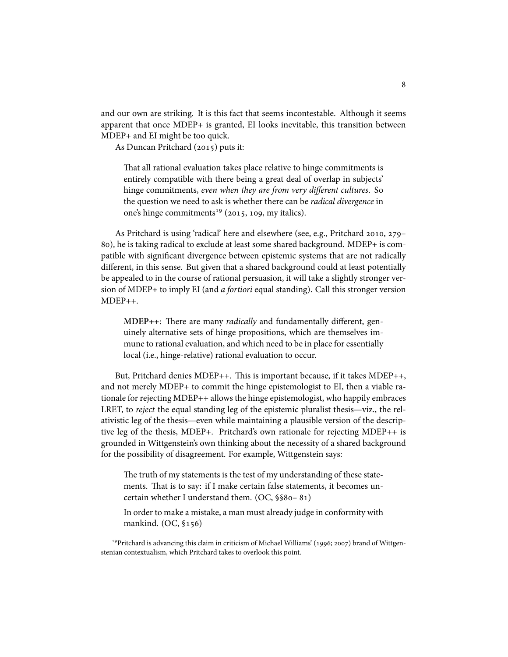and our own are striking. It is this fact that seems incontestable. Although it seems apparent that once MDEP+ is granted, EI looks inevitable, this transition between MDEP+ and EI might be too quick.

As Duncan Pritchard (2015) puts it:

That all rational evaluation takes place relative to hinge commitments is entirely compatible with there being a great deal of overlap in subjects' hinge commitments, *even when they are from very different cultures*. So the question we need to ask is whether there can be *radical divergence* in one's hinge commitments<sup>[19](#page-8-0)</sup> (2015, 109, my italics).

As Pritchard is using 'radical' here and elsewhere (see, e.g., Pritchard 2010, 279– 80), he is taking radical to exclude at least some shared background. MDEP+ is compatible with significant divergence between epistemic systems that are not radically different, in this sense. But given that a shared background could at least potentially be appealed to in the course of rational persuasion, it will take a slightly stronger version of MDEP+ to imply EI (and *a fortiori* equal standing). Call this stronger version MDEP++.

**MDEP++**: There are many *radically* and fundamentally different, genuinely alternative sets of hinge propositions, which are themselves immune to rational evaluation, and which need to be in place for essentially local (i.e., hinge-relative) rational evaluation to occur.

But, Pritchard denies MDEP++. This is important because, if it takes MDEP++, and not merely MDEP+ to commit the hinge epistemologist to EI, then a viable rationale for rejecting MDEP++ allows the hinge epistemologist, who happily embraces LRET, to *reject* the equal standing leg of the epistemic pluralist thesis—viz., the relativistic leg of the thesis—even while maintaining a plausible version of the descriptive leg of the thesis, MDEP+. Pritchard's own rationale for rejecting MDEP++ is grounded in Wittgenstein's own thinking about the necessity of a shared background for the possibility of disagreement. For example, Wittgenstein says:

The truth of my statements is the test of my understanding of these statements. That is to say: if I make certain false statements, it becomes uncertain whether I understand them. (OC, §§80– 81)

In order to make a mistake, a man must already judge in conformity with mankind. (OC, §156)

<span id="page-8-0"></span><sup>19</sup>Pritchard is advancing this claim in criticism of Michael Williams' (1996; 2007) brand of Wittgenstenian contextualism, which Pritchard takes to overlook this point.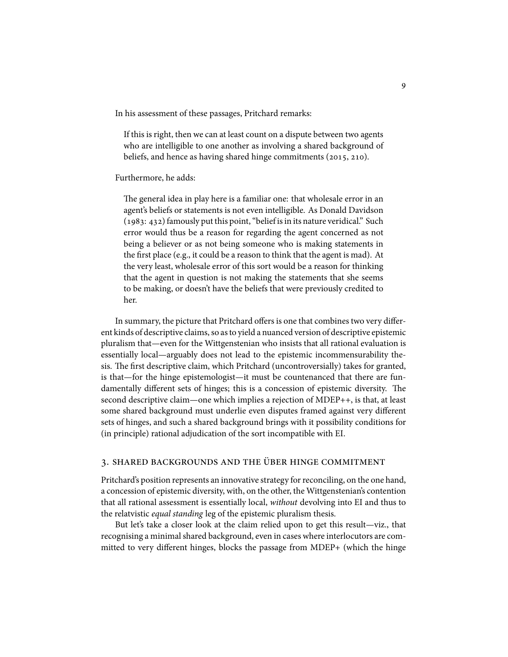In his assessment of these passages, Pritchard remarks:

If this is right, then we can at least count on a dispute between two agents who are intelligible to one another as involving a shared background of beliefs, and hence as having shared hinge commitments (2015, 210).

Furthermore, he adds:

The general idea in play here is a familiar one: that wholesale error in an agent's beliefs or statements is not even intelligible. As Donald Davidson (1983: 432) famously put this point, "belief is in its nature veridical." Such error would thus be a reason for regarding the agent concerned as not being a believer or as not being someone who is making statements in the first place (e.g., it could be a reason to think that the agent is mad). At the very least, wholesale error of this sort would be a reason for thinking that the agent in question is not making the statements that she seems to be making, or doesn't have the beliefs that were previously credited to her.

In summary, the picture that Pritchard offers is one that combines two very different kinds of descriptive claims, so as to yield a nuanced version of descriptive epistemic pluralism that—even for the Wittgenstenian who insists that all rational evaluation is essentially local—arguably does not lead to the epistemic incommensurability thesis. The first descriptive claim, which Pritchard (uncontroversially) takes for granted, is that—for the hinge epistemologist—it must be countenanced that there are fundamentally different sets of hinges; this is a concession of epistemic diversity. The second descriptive claim—one which implies a rejection of MDEP++, is that, at least some shared background must underlie even disputes framed against very different sets of hinges, and such a shared background brings with it possibility conditions for (in principle) rational adjudication of the sort incompatible with EI.

## 3. shared backgrounds and the über hinge commitment

Pritchard's position represents an innovative strategy for reconciling, on the one hand, a concession of epistemic diversity, with, on the other, the Wittgenstenian's contention that all rational assessment is essentially local, *without* devolving into EI and thus to the relatvistic *equal standing* leg of the epistemic pluralism thesis.

But let's take a closer look at the claim relied upon to get this result—viz., that recognising a minimal shared background, even in cases where interlocutors are committed to very different hinges, blocks the passage from MDEP+ (which the hinge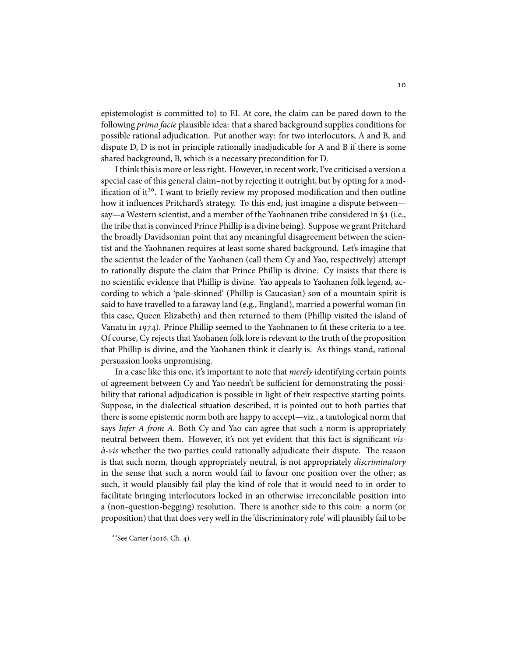epistemologist *is* committed to) to EI. At core, the claim can be pared down to the following *prima facie* plausible idea: that a shared background supplies conditions for possible rational adjudication. Put another way: for two interlocutors, A and B, and dispute D, D is not in principle rationally inadjudicable for A and B if there is some shared background, B, which is a necessary precondition for D.

I think this is more or less right. However, in recent work, I've criticised a version a special case of this general claim–not by rejecting it outright, but by opting for a mod-ification of it<sup>[20](#page-10-0)</sup>. I want to briefly review my proposed modification and then outline how it influences Pritchard's strategy. To this end, just imagine a dispute between say—a Western scientist, and a member of the Yaohnanen tribe considered in §1 (i.e., the tribe that is convinced Prince Phillip is a divine being). Suppose we grant Pritchard the broadly Davidsonian point that any meaningful disagreement between the scientist and the Yaohnanen requires at least some shared background. Let's imagine that the scientist the leader of the Yaohanen (call them Cy and Yao, respectively) attempt to rationally dispute the claim that Prince Phillip is divine. Cy insists that there is no scientific evidence that Phillip is divine. Yao appeals to Yaohanen folk legend, according to which a 'pale-skinned' (Phillip is Caucasian) son of a mountain spirit is said to have travelled to a faraway land (e.g., England), married a powerful woman (in this case, Queen Elizabeth) and then returned to them (Phillip visited the island of Vanatu in 1974). Prince Phillip seemed to the Yaohnanen to fit these criteria to a tee. Of course, Cy rejects that Yaohanen folk lore is relevant to the truth of the proposition that Phillip is divine, and the Yaohanen think it clearly is. As things stand, rational persuasion looks unpromising.

In a case like this one, it's important to note that *merely* identifying certain points of agreement between Cy and Yao needn't be sufficient for demonstrating the possibility that rational adjudication is possible in light of their respective starting points. Suppose, in the dialectical situation described, it is pointed out to both parties that there is some epistemic norm both are happy to accept—viz., a tautological norm that says *Infer A from A.* Both Cy and Yao can agree that such a norm is appropriately neutral between them. However, it's not yet evident that this fact is significant *visà-vis* whether the two parties could rationally adjudicate their dispute. The reason is that such norm, though appropriately neutral, is not appropriately *discriminatory* in the sense that such a norm would fail to favour one position over the other; as such, it would plausibly fail play the kind of role that it would need to in order to facilitate bringing interlocutors locked in an otherwise irreconcilable position into a (non-question-begging) resolution. There is another side to this coin: a norm (or proposition) that that does very well in the 'discriminatory role' will plausibly fail to be

<span id="page-10-0"></span><sup>20</sup>See Carter (2016, Ch. 4).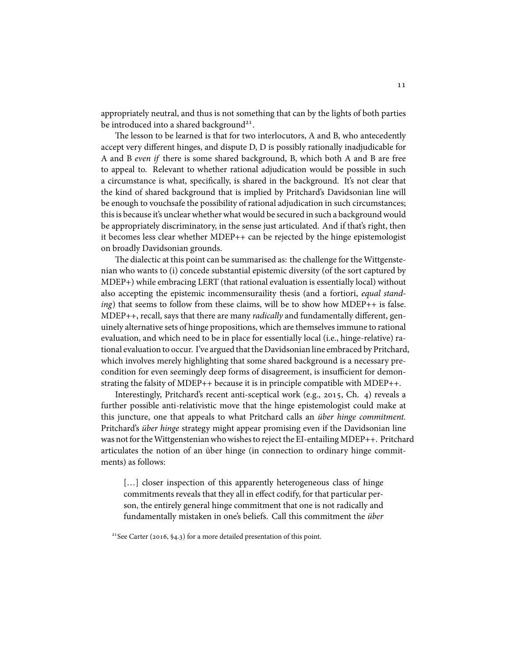appropriately neutral, and thus is not something that can by the lights of both parties be introduced into a shared background<sup>[21](#page-11-0)</sup>.

The lesson to be learned is that for two interlocutors, A and B, who antecedently accept very different hinges, and dispute D, D is possibly rationally inadjudicable for A and B *even if* there is some shared background, B, which both A and B are free to appeal to. Relevant to whether rational adjudication would be possible in such a circumstance is what, specifically, is shared in the background. It's not clear that the kind of shared background that is implied by Pritchard's Davidsonian line will be enough to vouchsafe the possibility of rational adjudication in such circumstances; this is because it's unclear whether what would be secured in such a background would be appropriately discriminatory, in the sense just articulated. And if that's right, then it becomes less clear whether MDEP++ can be rejected by the hinge epistemologist on broadly Davidsonian grounds.

The dialectic at this point can be summarised as: the challenge for the Wittgenstenian who wants to (i) concede substantial epistemic diversity (of the sort captured by MDEP+) while embracing LERT (that rational evaluation is essentially local) without also accepting the epistemic incommensuraility thesis (and a fortiori, *equal standing*) that seems to follow from these claims, will be to show how MDEP++ is false. MDEP++, recall, says that there are many *radically* and fundamentally different, genuinely alternative sets of hinge propositions, which are themselves immune to rational evaluation, and which need to be in place for essentially local (i.e., hinge-relative) rational evaluation to occur. I've argued that the Davidsonian line embraced by Pritchard, which involves merely highlighting that some shared background is a necessary precondition for even seemingly deep forms of disagreement, is insufficient for demonstrating the falsity of MDEP++ because it is in principle compatible with MDEP++.

Interestingly, Pritchard's recent anti-sceptical work (e.g., 2015, Ch. 4) reveals a further possible anti-relativistic move that the hinge epistemologist could make at this juncture, one that appeals to what Pritchard calls an *über hinge commitment.* Pritchard's *über hinge* strategy might appear promising even if the Davidsonian line was not for the Wittgenstenian who wishes to reject the EI-entailing MDEP++. Pritchard articulates the notion of an über hinge (in connection to ordinary hinge commitments) as follows:

[...] closer inspection of this apparently heterogeneous class of hinge commitments reveals that they all in effect codify, for that particular person, the entirely general hinge commitment that one is not radically and fundamentally mistaken in one's beliefs. Call this commitment the *über*

<span id="page-11-0"></span><sup>21</sup>See Carter (2016, §4.3) for a more detailed presentation of this point.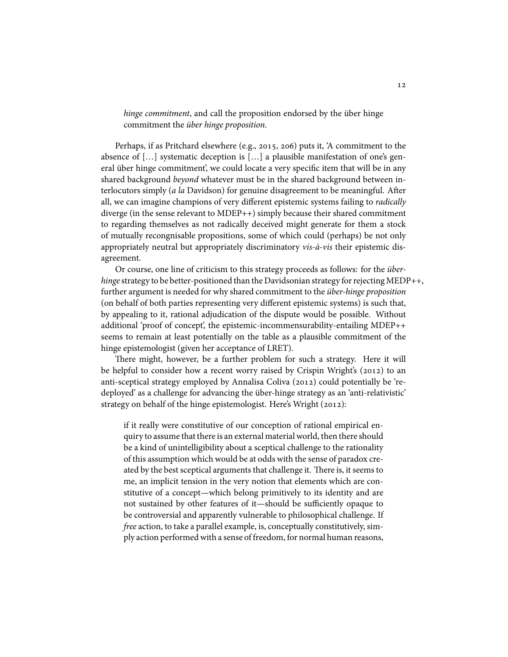*hinge commitment*, and call the proposition endorsed by the über hinge commitment the *über hinge proposition*.

Perhaps, if as Pritchard elsewhere (e.g., 2015, 206) puts it, 'A commitment to the absence of […] systematic deception is […] a plausible manifestation of one's general über hinge commitment', we could locate a very specific item that will be in any shared background *beyond* whatever must be in the shared background between interlocutors simply (*a la* Davidson) for genuine disagreement to be meaningful. After all, we can imagine champions of very different epistemic systems failing to *radically* diverge (in the sense relevant to MDEP++) simply because their shared commitment to regarding themselves as not radically deceived might generate for them a stock of mutually recongnisable propositions, some of which could (perhaps) be not only appropriately neutral but appropriately discriminatory *vis-à-vis* their epistemic disagreement.

Or course, one line of criticism to this strategy proceeds as follows: for the *überhinge* strategy to be better-positioned than the Davidsonian strategy for rejecting MEDP++, further argument is needed for why shared commitment to the *über-hinge proposition* (on behalf of both parties representing very different epistemic systems) is such that, by appealing to it, rational adjudication of the dispute would be possible. Without additional 'proof of concept', the epistemic-incommensurability-entailing MDEP++ seems to remain at least potentially on the table as a plausible commitment of the hinge epistemologist (given her acceptance of LRET).

There might, however, be a further problem for such a strategy. Here it will be helpful to consider how a recent worry raised by Crispin Wright's (2012) to an anti-sceptical strategy employed by Annalisa Coliva (2012) could potentially be 'redeployed' as a challenge for advancing the über-hinge strategy as an 'anti-relativistic' strategy on behalf of the hinge epistemologist. Here's Wright (2012):

if it really were constitutive of our conception of rational empirical enquiry to assume that there is an external material world, then there should be a kind of unintelligibility about a sceptical challenge to the rationality of this assumption which would be at odds with the sense of paradox created by the best sceptical arguments that challenge it. There is, it seems to me, an implicit tension in the very notion that elements which are constitutive of a concept—which belong primitively to its identity and are not sustained by other features of it—should be sufficiently opaque to be controversial and apparently vulnerable to philosophical challenge. If *free* action, to take a parallel example, is, conceptually constitutively, simply action performed with a sense of freedom, for normal human reasons,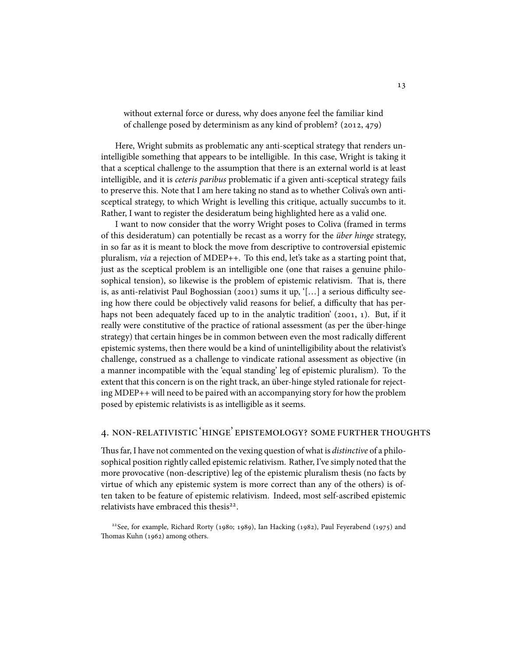without external force or duress, why does anyone feel the familiar kind of challenge posed by determinism as any kind of problem? (2012, 479)

Here, Wright submits as problematic any anti-sceptical strategy that renders unintelligible something that appears to be intelligible. In this case, Wright is taking it that a sceptical challenge to the assumption that there is an external world is at least intelligible, and it is *ceteris paribus* problematic if a given anti-sceptical strategy fails to preserve this. Note that I am here taking no stand as to whether Coliva's own antisceptical strategy, to which Wright is levelling this critique, actually succumbs to it. Rather, I want to register the desideratum being highlighted here as a valid one.

I want to now consider that the worry Wright poses to Coliva (framed in terms of this desideratum) can potentially be recast as a worry for the *über hinge* strategy, in so far as it is meant to block the move from descriptive to controversial epistemic pluralism, *via* a rejection of MDEP++. To this end, let's take as a starting point that, just as the sceptical problem is an intelligible one (one that raises a genuine philosophical tension), so likewise is the problem of epistemic relativism. That is, there is, as anti-relativist Paul Boghossian (2001) sums it up, '[…] a serious difficulty seeing how there could be objectively valid reasons for belief, a difficulty that has perhaps not been adequately faced up to in the analytic tradition' (2001, 1). But, if it really were constitutive of the practice of rational assessment (as per the über-hinge strategy) that certain hinges be in common between even the most radically different epistemic systems, then there would be a kind of unintelligibility about the relativist's challenge, construed as a challenge to vindicate rational assessment as objective (in a manner incompatible with the 'equal standing' leg of epistemic pluralism). To the extent that this concern is on the right track, an über-hinge styled rationale for rejecting MDEP++ will need to be paired with an accompanying story for how the problem posed by epistemic relativists is as intelligible as it seems.

## 4. non-relativistic 'hinge' epistemology? some further thoughts

Thus far, I have not commented on the vexing question of what is *distinctive* of a philosophical position rightly called epistemic relativism. Rather, I've simply noted that the more provocative (non-descriptive) leg of the epistemic pluralism thesis (no facts by virtue of which any epistemic system is more correct than any of the others) is often taken to be feature of epistemic relativism. Indeed, most self-ascribed epistemic relativists have embraced this thesis<sup>[22](#page-13-0)</sup>.

<span id="page-13-0"></span><sup>22</sup>See, for example, Richard Rorty (1980; 1989), Ian Hacking (1982), Paul Feyerabend (1975) and Thomas Kuhn (1962) among others.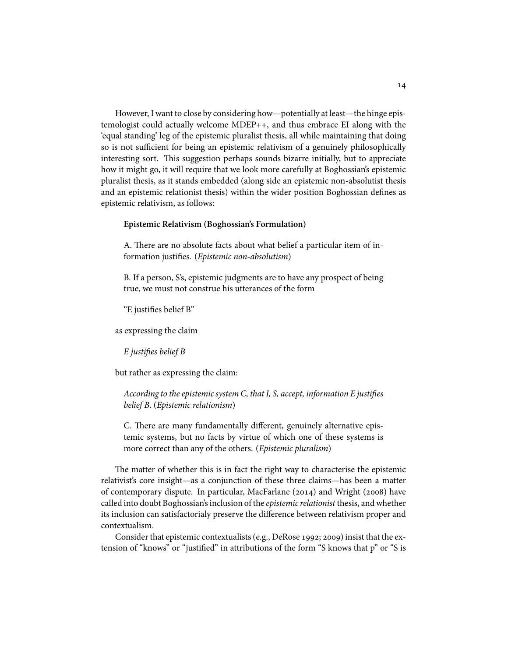However, I want to close by considering how—potentially at least—the hinge epistemologist could actually welcome MDEP++, and thus embrace EI along with the 'equal standing' leg of the epistemic pluralist thesis, all while maintaining that doing so is not sufficient for being an epistemic relativism of a genuinely philosophically interesting sort. This suggestion perhaps sounds bizarre initially, but to appreciate how it might go, it will require that we look more carefully at Boghossian's epistemic pluralist thesis, as it stands embedded (along side an epistemic non-absolutist thesis and an epistemic relationist thesis) within the wider position Boghossian defines as epistemic relativism, as follows:

#### **Epistemic Relativism (Boghossian's Formulation)**

A. There are no absolute facts about what belief a particular item of information justifies. (*Epistemic non-absolutism*)

B. If a person, S's, epistemic judgments are to have any prospect of being true, we must not construe his utterances of the form

"E justifies belief B"

as expressing the claim

*E justifies belief B*

but rather as expressing the claim:

*According to the epistemic system C, that I, S, accept, information E justifies belief B*. (*Epistemic relationism*)

C. There are many fundamentally different, genuinely alternative epistemic systems, but no facts by virtue of which one of these systems is more correct than any of the others. (*Epistemic pluralism*)

The matter of whether this is in fact the right way to characterise the epistemic relativist's core insight—as a conjunction of these three claims—has been a matter of contemporary dispute. In particular, MacFarlane (2014) and Wright (2008) have called into doubt Boghossian's inclusion of the *epistemic relationist* thesis, and whether its inclusion can satisfactorialy preserve the difference between relativism proper and contextualism.

Consider that epistemic contextualists (e.g., DeRose 1992; 2009) insist that the extension of "knows" or "justified" in attributions of the form "S knows that p" or "S is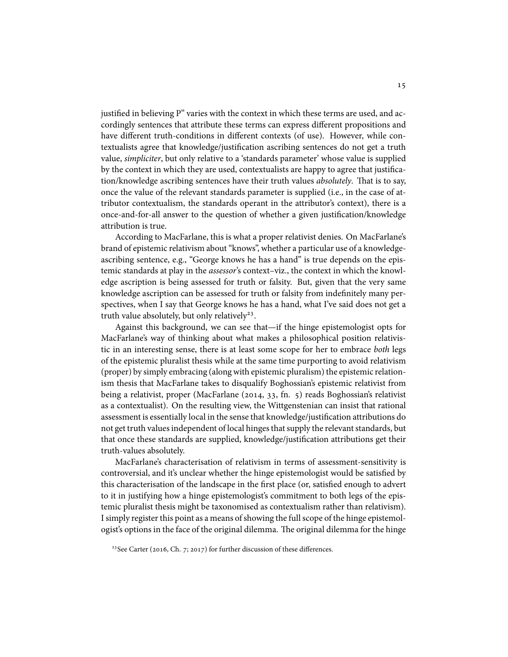justified in believing P" varies with the context in which these terms are used, and accordingly sentences that attribute these terms can express different propositions and have different truth-conditions in different contexts (of use). However, while contextualists agree that knowledge/justification ascribing sentences do not get a truth value, *simpliciter*, but only relative to a 'standards parameter' whose value is supplied by the context in which they are used, contextualists are happy to agree that justification/knowledge ascribing sentences have their truth values *absolutely*. That is to say, once the value of the relevant standards parameter is supplied (i.e., in the case of attributor contextualism, the standards operant in the attributor's context), there is a once-and-for-all answer to the question of whether a given justification/knowledge attribution is true.

According to MacFarlane, this is what a proper relativist denies. On MacFarlane's brand of epistemic relativism about "knows", whether a particular use of a knowledgeascribing sentence, e.g., "George knows he has a hand" is true depends on the epistemic standards at play in the *assessor*'s context–viz., the context in which the knowledge ascription is being assessed for truth or falsity. But, given that the very same knowledge ascription can be assessed for truth or falsity from indefinitely many perspectives, when I say that George knows he has a hand, what I've said does not get a truth value absolutely, but only relatively<sup>[23](#page-15-0)</sup>.

Against this background, we can see that—if the hinge epistemologist opts for MacFarlane's way of thinking about what makes a philosophical position relativistic in an interesting sense, there is at least some scope for her to embrace *both* legs of the epistemic pluralist thesis while at the same time purporting to avoid relativism (proper) by simply embracing (along with epistemic pluralism) the epistemic relationism thesis that MacFarlane takes to disqualify Boghossian's epistemic relativist from being a relativist, proper (MacFarlane (2014, 33, fn. 5) reads Boghossian's relativist as a contextualist). On the resulting view, the Wittgenstenian can insist that rational assessment is essentially local in the sense that knowledge/justification attributions do not get truth values independent of local hinges that supply the relevant standards, but that once these standards are supplied, knowledge/justification attributions get their truth-values absolutely.

MacFarlane's characterisation of relativism in terms of assessment-sensitivity is controversial, and it's unclear whether the hinge epistemologist would be satisfied by this characterisation of the landscape in the first place (or, satisfied enough to advert to it in justifying how a hinge epistemologist's commitment to both legs of the epistemic pluralist thesis might be taxonomised as contextualism rather than relativism). I simply register this point as a means of showing the full scope of the hinge epistemologist's options in the face of the original dilemma. The original dilemma for the hinge

<span id="page-15-0"></span><sup>&</sup>lt;sup>23</sup>See Carter (2016, Ch. 7; 2017) for further discussion of these differences.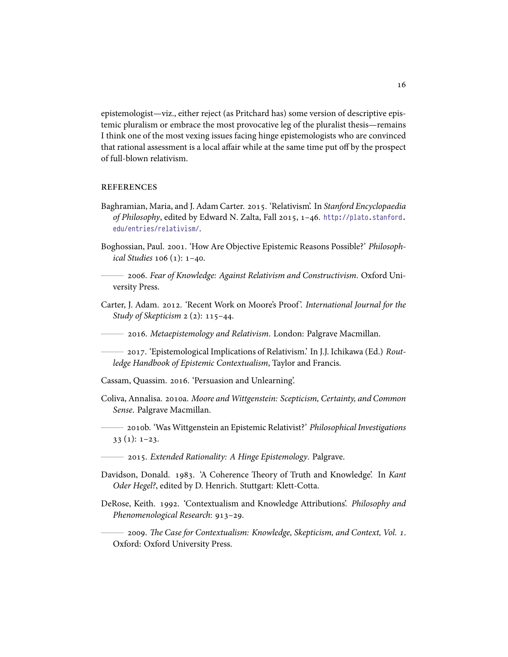epistemologist—viz., either reject (as Pritchard has) some version of descriptive epistemic pluralism or embrace the most provocative leg of the pluralist thesis—remains I think one of the most vexing issues facing hinge epistemologists who are convinced that rational assessment is a local affair while at the same time put off by the prospect of full-blown relativism.

### **REFERENCES**

- Baghramian, Maria, and J. Adam Carter. 2015. 'Relativism'. In *Stanford Encyclopaedia of Philosophy*, edited by Edward N. Zalta, Fall 2015, 1–46. [http://plato.stanford.](http://plato.stanford.edu/entries/relativism/) [edu/entries/relativism/](http://plato.stanford.edu/entries/relativism/).
- Boghossian, Paul. 2001. 'How Are Objective Epistemic Reasons Possible?' *Philosophical Studies* 106 (1): 1–40.
	- ——– 2006. *Fear of Knowledge: Against Relativism and Constructivism*. Oxford University Press.
- Carter, J. Adam. 2012. 'Recent Work on Moore's Proof '. *International Journal for the Study of Skepticism* 2 (2): 115–44.
- ——– 2016. *Metaepistemology and Relativism*. London: Palgrave Macmillan.
	- ——– 2017. 'Epistemological Implications of Relativism.' In J.J. Ichikawa (Ed.) *Routledge Handbook of Epistemic Contextualism*, Taylor and Francis.
- Cassam, Quassim. 2016. 'Persuasion and Unlearning'.
- Coliva, Annalisa. 2010a. *Moore and Wittgenstein: Scepticism, Certainty, and Common Sense*. Palgrave Macmillan.
- ——– 2010b. 'Was Wittgenstein an Epistemic Relativist?' *Philosophical Investigations*  $33(1): 1-23.$
- ——– 2015. *Extended Rationality: A Hinge Epistemology*. Palgrave.
- Davidson, Donald. 1983. 'A Coherence Theory of Truth and Knowledge'. In *Kant Oder Hegel?*, edited by D. Henrich. Stuttgart: Klett-Cotta.
- DeRose, Keith. 1992. 'Contextualism and Knowledge Attributions'. *Philosophy and Phenomenological Research*: 913–29.
	- ——– 2009. *The Case for Contextualism: Knowledge, Skepticism, and Context, Vol. 1*. Oxford: Oxford University Press.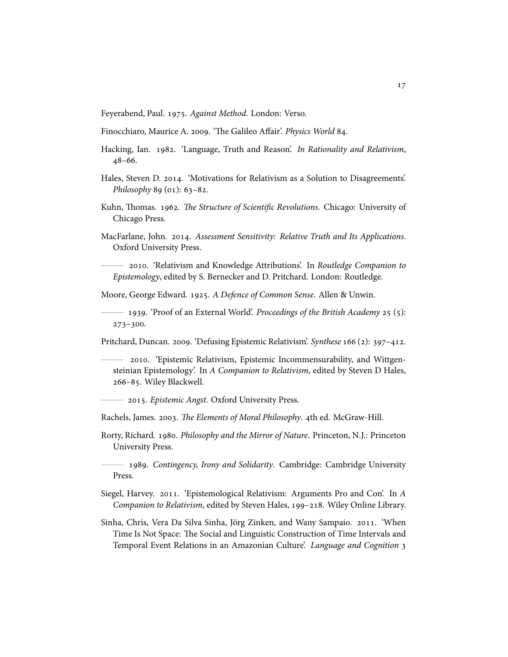Feyerabend, Paul. 1975. *Against Method*. London: Verso.

Finocchiaro, Maurice A. 2009. 'The Galileo Affair'. *Physics World* 84.

- Hacking, Ian. 1982. 'Language, Truth and Reason'. *In Rationality and Relativism*, 48–66.
- Hales, Steven D. 2014. 'Motivations for Relativism as a Solution to Disagreements'. *Philosophy* 89 (01): 63–82.
- Kuhn, Thomas. 1962. *The Structure of Scientific Revolutions*. Chicago: University of Chicago Press.
- MacFarlane, John. 2014. *Assessment Sensitivity: Relative Truth and Its Applications*. Oxford University Press.
- ——– 2010. 'Relativism and Knowledge Attributions'. In *Routledge Companion to Epistemology*, edited by S. Bernecker and D. Pritchard. London: Routledge.

Moore, George Edward. 1925. *A Defence of Common Sense*. Allen & Unwin.

——– 1939. 'Proof of an External World'. *Proceedings of the British Academy* 25 (5): 273–300.

Pritchard, Duncan. 2009. 'Defusing Epistemic Relativism'. *Synthese* 166 (2): 397–412.

- ——– 2010. 'Epistemic Relativism, Epistemic Incommensurability, and Wittgensteinian Epistemology'. In *A Companion to Relativism*, edited by Steven D Hales, 266–85. Wiley Blackwell.
- ——– 2015. *Epistemic Angst*. Oxford University Press.
- Rachels, James. 2003. *The Elements of Moral Philosophy*. 4th ed. McGraw-Hill.
- Rorty, Richard. 1980. *Philosophy and the Mirror of Nature*. Princeton, N.J.: Princeton University Press.
- ——– 1989. *Contingency, Irony and Solidarity*. Cambridge: Cambridge University Press.
- Siegel, Harvey. 2011. 'Epistemological Relativism: Arguments Pro and Con'. In *A Companion to Relativism*, edited by Steven Hales, 199–218. Wiley Online Library.
- Sinha, Chris, Vera Da Silva Sinha, Jörg Zinken, and Wany Sampaio. 2011. 'When Time Is Not Space: The Social and Linguistic Construction of Time Intervals and Temporal Event Relations in an Amazonian Culture'. *Language and Cognition* 3